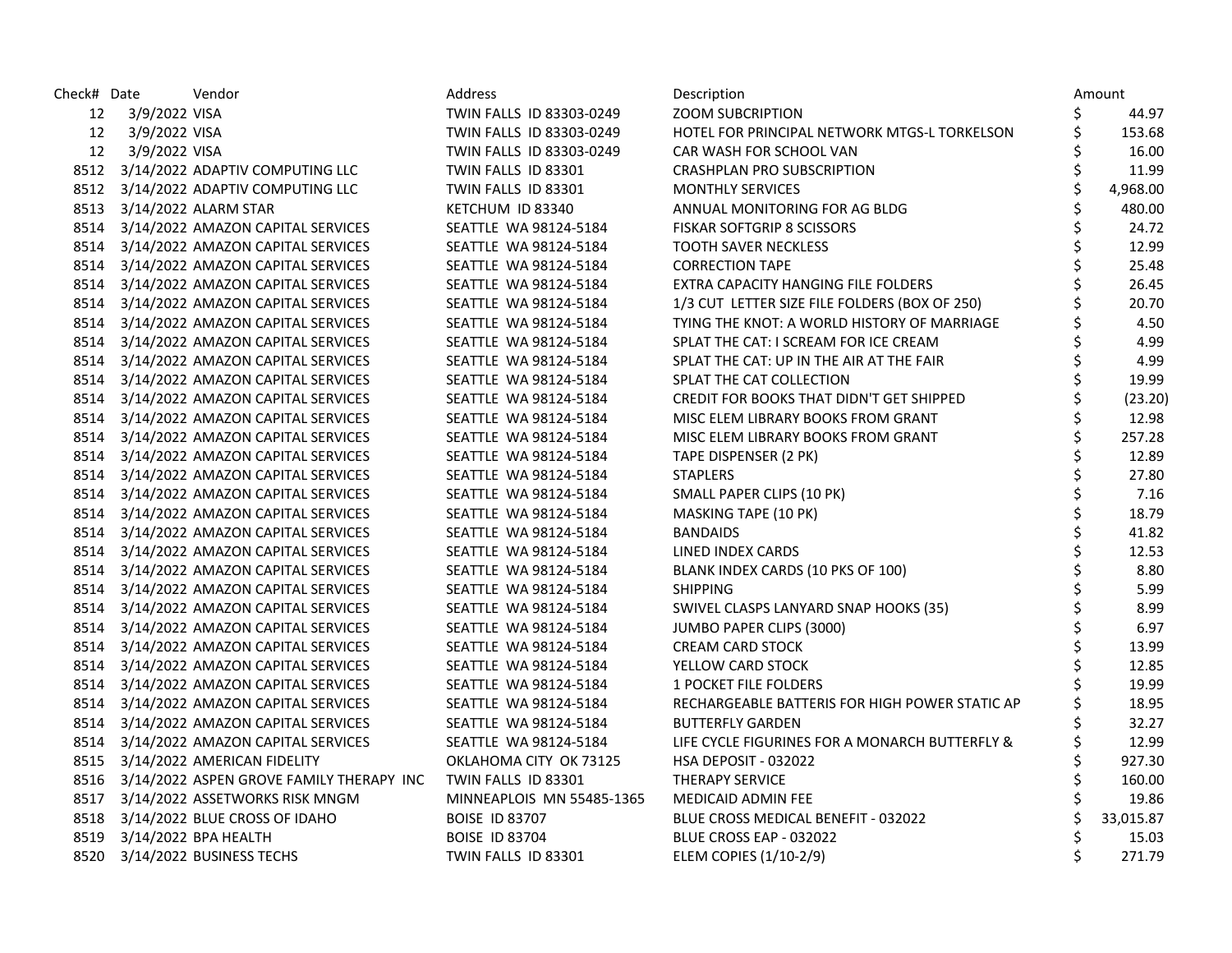| Check# Date |               | Vendor                                        | Address                   | Description                                    | Amount         |
|-------------|---------------|-----------------------------------------------|---------------------------|------------------------------------------------|----------------|
| 12          | 3/9/2022 VISA |                                               | TWIN FALLS ID 83303-0249  | <b>ZOOM SUBCRIPTION</b>                        | \$<br>44.97    |
| 12          | 3/9/2022 VISA |                                               | TWIN FALLS ID 83303-0249  | HOTEL FOR PRINCIPAL NETWORK MTGS-L TORKELSON   | \$<br>153.68   |
| 12          | 3/9/2022 VISA |                                               | TWIN FALLS ID 83303-0249  | CAR WASH FOR SCHOOL VAN                        | \$<br>16.00    |
|             |               | 8512 3/14/2022 ADAPTIV COMPUTING LLC          | TWIN FALLS ID 83301       | CRASHPLAN PRO SUBSCRIPTION                     | \$<br>11.99    |
|             |               | 8512 3/14/2022 ADAPTIV COMPUTING LLC          | TWIN FALLS ID 83301       | <b>MONTHLY SERVICES</b>                        | \$<br>4,968.00 |
|             |               | 8513 3/14/2022 ALARM STAR                     | KETCHUM ID 83340          | ANNUAL MONITORING FOR AG BLDG                  | \$<br>480.00   |
|             |               | 8514 3/14/2022 AMAZON CAPITAL SERVICES        | SEATTLE WA 98124-5184     | <b>FISKAR SOFTGRIP 8 SCISSORS</b>              | \$<br>24.72    |
| 8514        |               | 3/14/2022 AMAZON CAPITAL SERVICES             | SEATTLE WA 98124-5184     | <b>TOOTH SAVER NECKLESS</b>                    | \$<br>12.99    |
|             |               | 8514 3/14/2022 AMAZON CAPITAL SERVICES        | SEATTLE WA 98124-5184     | <b>CORRECTION TAPE</b>                         | \$<br>25.48    |
|             |               | 8514 3/14/2022 AMAZON CAPITAL SERVICES        | SEATTLE WA 98124-5184     | EXTRA CAPACITY HANGING FILE FOLDERS            | \$<br>26.45    |
|             |               | 8514 3/14/2022 AMAZON CAPITAL SERVICES        | SEATTLE WA 98124-5184     | 1/3 CUT LETTER SIZE FILE FOLDERS (BOX OF 250)  | \$<br>20.70    |
|             |               | 8514 3/14/2022 AMAZON CAPITAL SERVICES        | SEATTLE WA 98124-5184     | TYING THE KNOT: A WORLD HISTORY OF MARRIAGE    | 4.50           |
|             |               | 8514 3/14/2022 AMAZON CAPITAL SERVICES        | SEATTLE WA 98124-5184     | SPLAT THE CAT: I SCREAM FOR ICE CREAM          | \$<br>4.99     |
|             |               | 8514 3/14/2022 AMAZON CAPITAL SERVICES        | SEATTLE WA 98124-5184     | SPLAT THE CAT: UP IN THE AIR AT THE FAIR       | \$<br>4.99     |
|             |               | 8514 3/14/2022 AMAZON CAPITAL SERVICES        | SEATTLE WA 98124-5184     | SPLAT THE CAT COLLECTION                       | \$<br>19.99    |
|             |               | 8514 3/14/2022 AMAZON CAPITAL SERVICES        | SEATTLE WA 98124-5184     | CREDIT FOR BOOKS THAT DIDN'T GET SHIPPED       | \$<br>(23.20)  |
|             |               | 8514 3/14/2022 AMAZON CAPITAL SERVICES        | SEATTLE WA 98124-5184     | MISC ELEM LIBRARY BOOKS FROM GRANT             | \$<br>12.98    |
|             |               | 8514 3/14/2022 AMAZON CAPITAL SERVICES        | SEATTLE WA 98124-5184     | MISC ELEM LIBRARY BOOKS FROM GRANT             | \$<br>257.28   |
|             |               | 8514 3/14/2022 AMAZON CAPITAL SERVICES        | SEATTLE WA 98124-5184     | TAPE DISPENSER (2 PK)                          | \$<br>12.89    |
|             |               | 8514 3/14/2022 AMAZON CAPITAL SERVICES        | SEATTLE WA 98124-5184     | <b>STAPLERS</b>                                | \$<br>27.80    |
|             |               | 8514 3/14/2022 AMAZON CAPITAL SERVICES        | SEATTLE WA 98124-5184     | SMALL PAPER CLIPS (10 PK)                      | \$<br>7.16     |
|             |               | 8514 3/14/2022 AMAZON CAPITAL SERVICES        | SEATTLE WA 98124-5184     | MASKING TAPE (10 PK)                           | \$<br>18.79    |
|             |               | 8514 3/14/2022 AMAZON CAPITAL SERVICES        | SEATTLE WA 98124-5184     | <b>BANDAIDS</b>                                | \$<br>41.82    |
|             |               | 8514 3/14/2022 AMAZON CAPITAL SERVICES        | SEATTLE WA 98124-5184     | LINED INDEX CARDS                              | \$<br>12.53    |
|             |               | 8514 3/14/2022 AMAZON CAPITAL SERVICES        | SEATTLE WA 98124-5184     | BLANK INDEX CARDS (10 PKS OF 100)              | \$<br>8.80     |
|             |               | 8514 3/14/2022 AMAZON CAPITAL SERVICES        | SEATTLE WA 98124-5184     | <b>SHIPPING</b>                                | \$<br>5.99     |
|             |               | 8514 3/14/2022 AMAZON CAPITAL SERVICES        | SEATTLE WA 98124-5184     | SWIVEL CLASPS LANYARD SNAP HOOKS (35)          | \$<br>8.99     |
|             |               | 8514 3/14/2022 AMAZON CAPITAL SERVICES        | SEATTLE WA 98124-5184     | JUMBO PAPER CLIPS (3000)                       | \$<br>6.97     |
|             |               | 8514 3/14/2022 AMAZON CAPITAL SERVICES        | SEATTLE WA 98124-5184     | <b>CREAM CARD STOCK</b>                        | \$<br>13.99    |
|             |               | 8514 3/14/2022 AMAZON CAPITAL SERVICES        | SEATTLE WA 98124-5184     | YELLOW CARD STOCK                              | \$<br>12.85    |
|             |               | 8514 3/14/2022 AMAZON CAPITAL SERVICES        | SEATTLE WA 98124-5184     | <b>1 POCKET FILE FOLDERS</b>                   | \$<br>19.99    |
|             |               | 8514 3/14/2022 AMAZON CAPITAL SERVICES        | SEATTLE WA 98124-5184     | RECHARGEABLE BATTERIS FOR HIGH POWER STATIC AP | \$<br>18.95    |
|             |               | 8514 3/14/2022 AMAZON CAPITAL SERVICES        | SEATTLE WA 98124-5184     | <b>BUTTERFLY GARDEN</b>                        | \$<br>32.27    |
|             |               | 8514 3/14/2022 AMAZON CAPITAL SERVICES        | SEATTLE WA 98124-5184     | LIFE CYCLE FIGURINES FOR A MONARCH BUTTERFLY & | \$<br>12.99    |
|             |               | 8515 3/14/2022 AMERICAN FIDELITY              | OKLAHOMA CITY OK 73125    | <b>HSA DEPOSIT - 032022</b>                    | \$<br>927.30   |
|             |               | 8516 3/14/2022 ASPEN GROVE FAMILY THERAPY INC | TWIN FALLS ID 83301       | <b>THERAPY SERVICE</b>                         | \$<br>160.00   |
| 8517        |               | 3/14/2022 ASSETWORKS RISK MNGM                | MINNEAPLOIS MN 55485-1365 | MEDICAID ADMIN FEE                             | 19.86          |
|             |               | 8518 3/14/2022 BLUE CROSS OF IDAHO            | <b>BOISE ID 83707</b>     | BLUE CROSS MEDICAL BENEFIT - 032022            | 33,015.87      |
|             |               | 8519 3/14/2022 BPA HEALTH                     | <b>BOISE ID 83704</b>     | BLUE CROSS EAP - 032022                        | \$<br>15.03    |
|             |               | 8520 3/14/2022 BUSINESS TECHS                 | TWIN FALLS ID 83301       | ELEM COPIES (1/10-2/9)                         | \$<br>271.79   |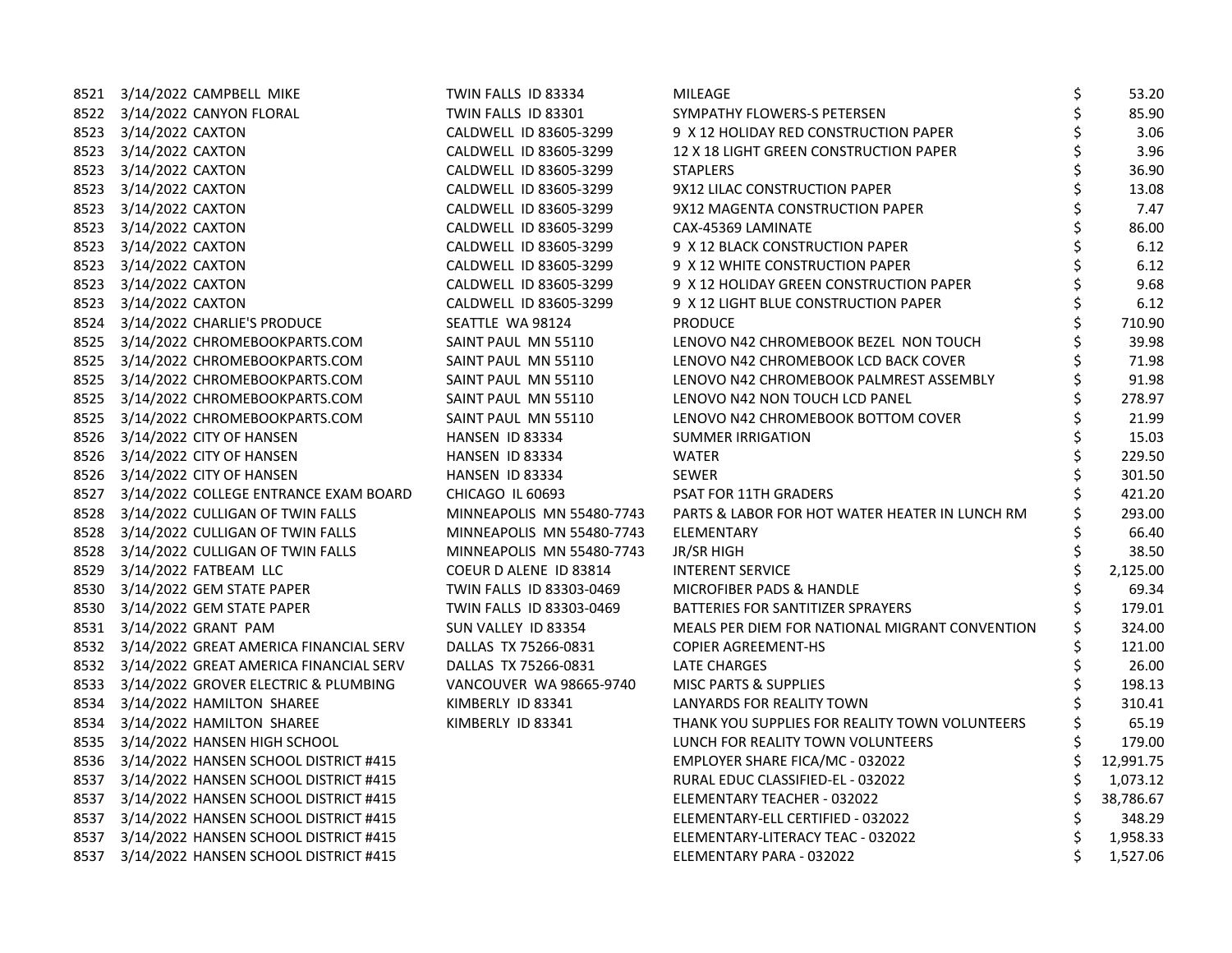| 8521 3/14/2022 CAMPBELL MIKE                | TWIN FALLS ID 83334       | MILEAGE                                        | \$<br>53.20 |
|---------------------------------------------|---------------------------|------------------------------------------------|-------------|
| 8522 3/14/2022 CANYON FLORAL                | TWIN FALLS ID 83301       | SYMPATHY FLOWERS-S PETERSEN                    | 85.90       |
| 8523 3/14/2022 CAXTON                       | CALDWELL ID 83605-3299    | 9 X 12 HOLIDAY RED CONSTRUCTION PAPER          | 3.06        |
| 8523 3/14/2022 CAXTON                       | CALDWELL ID 83605-3299    | 12 X 18 LIGHT GREEN CONSTRUCTION PAPER         | 3.96        |
| 8523 3/14/2022 CAXTON                       | CALDWELL ID 83605-3299    | <b>STAPLERS</b>                                | 36.90       |
| 8523 3/14/2022 CAXTON                       | CALDWELL ID 83605-3299    | 9X12 LILAC CONSTRUCTION PAPER                  | 13.08       |
| 8523 3/14/2022 CAXTON                       | CALDWELL ID 83605-3299    | 9X12 MAGENTA CONSTRUCTION PAPER                | 7.47        |
| 8523 3/14/2022 CAXTON                       | CALDWELL ID 83605-3299    | CAX-45369 LAMINATE                             | 86.00       |
| 8523 3/14/2022 CAXTON                       | CALDWELL ID 83605-3299    | 9 X 12 BLACK CONSTRUCTION PAPER                | 6.12        |
| 8523 3/14/2022 CAXTON                       | CALDWELL ID 83605-3299    | 9 X 12 WHITE CONSTRUCTION PAPER                | 6.12        |
| 8523 3/14/2022 CAXTON                       | CALDWELL ID 83605-3299    | 9 X 12 HOLIDAY GREEN CONSTRUCTION PAPER        | 9.68        |
| 8523 3/14/2022 CAXTON                       | CALDWELL ID 83605-3299    | 9 X 12 LIGHT BLUE CONSTRUCTION PAPER           | 6.12        |
| 8524 3/14/2022 CHARLIE'S PRODUCE            | SEATTLE WA 98124          | <b>PRODUCE</b>                                 | 710.90      |
| 8525 3/14/2022 CHROMEBOOKPARTS.COM          | SAINT PAUL MN 55110       | LENOVO N42 CHROMEBOOK BEZEL NON TOUCH          | 39.98       |
| 8525 3/14/2022 CHROMEBOOKPARTS.COM          | SAINT PAUL MN 55110       | LENOVO N42 CHROMEBOOK LCD BACK COVER           | 71.98       |
| 8525 3/14/2022 CHROMEBOOKPARTS.COM          | SAINT PAUL MN 55110       | LENOVO N42 CHROMEBOOK PALMREST ASSEMBLY        | 91.98       |
| 8525 3/14/2022 CHROMEBOOKPARTS.COM          | SAINT PAUL MN 55110       | LENOVO N42 NON TOUCH LCD PANEL                 | 278.97      |
| 8525 3/14/2022 CHROMEBOOKPARTS.COM          | SAINT PAUL MN 55110       | LENOVO N42 CHROMEBOOK BOTTOM COVER             | 21.99       |
| 8526 3/14/2022 CITY OF HANSEN               | HANSEN ID 83334           | <b>SUMMER IRRIGATION</b>                       | 15.03       |
| 8526 3/14/2022 CITY OF HANSEN               | HANSEN ID 83334           | <b>WATER</b>                                   | 229.50      |
| 8526 3/14/2022 CITY OF HANSEN               | HANSEN ID 83334           | <b>SEWER</b>                                   | 301.50      |
| 8527 3/14/2022 COLLEGE ENTRANCE EXAM BOARD  | CHICAGO IL 60693          | <b>PSAT FOR 11TH GRADERS</b>                   | 421.20      |
| 8528 3/14/2022 CULLIGAN OF TWIN FALLS       | MINNEAPOLIS MN 55480-7743 | PARTS & LABOR FOR HOT WATER HEATER IN LUNCH RM | 293.00      |
| 8528 3/14/2022 CULLIGAN OF TWIN FALLS       | MINNEAPOLIS MN 55480-7743 | ELEMENTARY                                     | 66.40       |
| 8528 3/14/2022 CULLIGAN OF TWIN FALLS       | MINNEAPOLIS MN 55480-7743 | JR/SR HIGH                                     | 38.50       |
| 8529 3/14/2022 FATBEAM LLC                  | COEUR D ALENE ID 83814    | <b>INTERENT SERVICE</b>                        | 2,125.00    |
| 8530 3/14/2022 GEM STATE PAPER              | TWIN FALLS ID 83303-0469  | MICROFIBER PADS & HANDLE                       | 69.34       |
| 8530 3/14/2022 GEM STATE PAPER              | TWIN FALLS ID 83303-0469  | BATTERIES FOR SANTITIZER SPRAYERS              | 179.01      |
| 8531 3/14/2022 GRANT PAM                    | SUN VALLEY ID 83354       | MEALS PER DIEM FOR NATIONAL MIGRANT CONVENTION | 324.00      |
| 8532 3/14/2022 GREAT AMERICA FINANCIAL SERV | DALLAS TX 75266-0831      | <b>COPIER AGREEMENT-HS</b>                     | 121.00      |
| 8532 3/14/2022 GREAT AMERICA FINANCIAL SERV | DALLAS TX 75266-0831      | LATE CHARGES                                   | 26.00       |
| 8533 3/14/2022 GROVER ELECTRIC & PLUMBING   | VANCOUVER WA 98665-9740   | <b>MISC PARTS &amp; SUPPLIES</b>               | 198.13      |
| 8534 3/14/2022 HAMILTON SHAREE              | KIMBERLY ID 83341         | LANYARDS FOR REALITY TOWN                      | 310.41      |
| 8534 3/14/2022 HAMILTON SHAREE              | KIMBERLY ID 83341         | THANK YOU SUPPLIES FOR REALITY TOWN VOLUNTEERS | 65.19       |
| 8535 3/14/2022 HANSEN HIGH SCHOOL           |                           | LUNCH FOR REALITY TOWN VOLUNTEERS              | 179.00      |
| 8536 3/14/2022 HANSEN SCHOOL DISTRICT #415  |                           | EMPLOYER SHARE FICA/MC - 032022                | 12,991.75   |
| 8537 3/14/2022 HANSEN SCHOOL DISTRICT #415  |                           | RURAL EDUC CLASSIFIED-EL - 032022              | 1,073.12    |
| 8537 3/14/2022 HANSEN SCHOOL DISTRICT #415  |                           | ELEMENTARY TEACHER - 032022                    | 38,786.67   |
| 8537 3/14/2022 HANSEN SCHOOL DISTRICT #415  |                           | ELEMENTARY-ELL CERTIFIED - 032022              | 348.29      |
| 8537 3/14/2022 HANSEN SCHOOL DISTRICT #415  |                           | ELEMENTARY-LITERACY TEAC - 032022              | 1,958.33    |
| 8537 3/14/2022 HANSEN SCHOOL DISTRICT #415  |                           | ELEMENTARY PARA - 032022                       | 1,527.06    |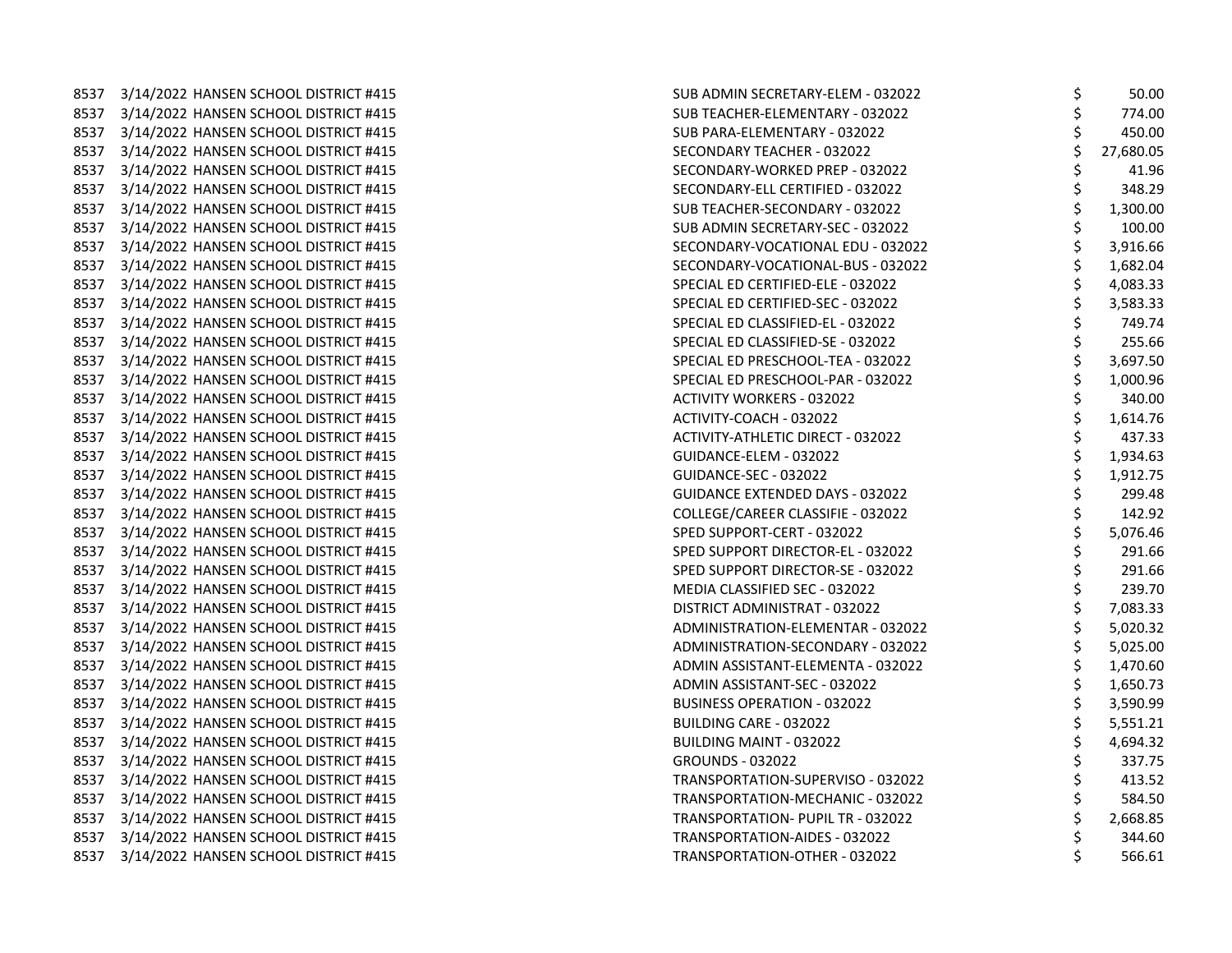8537 3/14/2022 HANSEN SCHOOL DISTRICT #415 8537 3/14/2022 HANSEN SCHOOL DISTRICT #415 8537 3/14/2022 HANSEN SCHOOL DISTRICT #415 8537 3/14/2022 HANSEN SCHOOL DISTRICT #415 8537 3/14/2022 HANSEN SCHOOL DISTRICT #415 8537 3/14/2022 HANSEN SCHOOL DISTRICT #415 8537 3/14/2022 HANSEN SCHOOL DISTRICT #415 8537 3/14/2022 HANSEN SCHOOL DISTRICT #415 8537 3/14/2022 HANSEN SCHOOL DISTRICT #415 8537 3/14/2022 HANSEN SCHOOL DISTRICT #415 8537 3/14/2022 HANSEN SCHOOL DISTRICT #415 8537 3/14/2022 HANSEN SCHOOL DISTRICT #415 8537 3/14/2022 HANSEN SCHOOL DISTRICT #415 8537 3/14/2022 HANSEN SCHOOL DISTRICT #415 8537 3/14/2022 HANSEN SCHOOL DISTRICT #415 8537 3/14/2022 HANSEN SCHOOL DISTRICT #415 8537 3/14/2022 HANSEN SCHOOL DISTRICT #415 8537 3/14/2022 HANSEN SCHOOL DISTRICT #415 8537 3/14/2022 HANSEN SCHOOL DISTRICT #415 8537 3/14/2022 HANSEN SCHOOL DISTRICT #415 8537 3/14/2022 HANSEN SCHOOL DISTRICT #415 8537 3/14/2022 HANSEN SCHOOL DISTRICT #415 8537 3/14/2022 HANSEN SCHOOL DISTRICT #415 8537 3/14/2022 HANSEN SCHOOL DISTRICT #415 8537 3/14/2022 HANSEN SCHOOL DISTRICT #415 8537 3/14/2022 HANSEN SCHOOL DISTRICT #415 8537 3/14/2022 HANSEN SCHOOL DISTRICT #415 8537 3/14/2022 HANSEN SCHOOL DISTRICT #415 8537 3/14/2022 HANSEN SCHOOL DISTRICT #415 8537 3/14/2022 HANSEN SCHOOL DISTRICT #415 8537 3/14/2022 HANSEN SCHOOL DISTRICT #415 8537 3/14/2022 HANSEN SCHOOL DISTRICT #415 8537 3/14/2022 HANSEN SCHOOL DISTRICT #415 8537 3/14/2022 HANSEN SCHOOL DISTRICT #415 8537 3/14/2022 HANSEN SCHOOL DISTRICT #415 8537 3/14/2022 HANSEN SCHOOL DISTRICT #415 8537 3/14/2022 HANSEN SCHOOL DISTRICT #415 8537 3/14/2022 HANSEN SCHOOL DISTRICT #415 8537 3/14/2022 HANSEN SCHOOL DISTRICT #415 8537 3/14/2022 HANSEN SCHOOL DISTRICT #415 8537 3/14/2022 HANSEN SCHOOL DISTRICT #415

| SUB ADMIN SECRETARY-ELEM - 032022        | \$            | 50.00     |
|------------------------------------------|---------------|-----------|
| SUB TEACHER-ELEMENTARY - 032022          |               | 774.00    |
| SUB PARA-ELEMENTARY - 032022             | やややや やややや     | 450.00    |
| SECONDARY TEACHER - 032022               |               | 27,680.05 |
| SECONDARY-WORKED PREP - 032022           |               | 41.96     |
| SECONDARY-ELL CERTIFIED - 032022         |               | 348.29    |
| SUB TEACHER-SECONDARY - 032022           |               | 1,300.00  |
| SUB ADMIN SECRETARY-SEC - 032022         |               | 100.00    |
| SECONDARY-VOCATIONAL EDU - 032022        |               | 3,916.66  |
| SECONDARY-VOCATIONAL-BUS - 032022        |               | 1,682.04  |
| SPECIAL ED CERTIFIED-ELE - 032022        |               | 4,083.33  |
| SPECIAL ED CERTIFIED-SEC - 032022        | やややや          | 3,583.33  |
| SPECIAL ED CLASSIFIED-EL - 032022        |               | 749.74    |
| SPECIAL ED CLASSIFIED-SE - 032022        |               | 255.66    |
| SPECIAL ED PRESCHOOL-TEA - 032022        |               | 3,697.50  |
| SPECIAL ED PRESCHOOL-PAR - 032022        |               | 1,000.96  |
| <b>ACTIVITY WORKERS - 032022</b>         |               | 340.00    |
| ACTIVITY-COACH - 032022                  |               | 1,614.76  |
| <b>ACTIVITY-ATHLETIC DIRECT - 032022</b> |               | 437.33    |
| GUIDANCE-ELEM - 032022                   |               | 1,934.63  |
| GUIDANCE-SEC - 032022                    |               | 1,912.75  |
| <b>GUIDANCE EXTENDED DAYS - 032022</b>   | ぐうそう こうさいかいかい | 299.48    |
| COLLEGE/CAREER CLASSIFIE - 032022        |               | 142.92    |
| SPED SUPPORT-CERT - 032022               |               | 5,076.46  |
| SPED SUPPORT DIRECTOR-EL - 032022        |               | 291.66    |
| SPED SUPPORT DIRECTOR-SE - 032022        |               | 291.66    |
| MEDIA CLASSIFIED SEC - 032022            |               | 239.70    |
| DISTRICT ADMINISTRAT - 032022            |               | 7,083.33  |
| ADMINISTRATION-ELEMENTAR - 032022        |               | 5,020.32  |
| <b>ADMINISTRATION-SECONDARY - 032022</b> |               | 5,025.00  |
| ADMIN ASSISTANT-ELEMENTA - 032022        |               | 1,470.60  |
| ADMIN ASSISTANT-SEC - 032022             |               | 1,650.73  |
| <b>BUSINESS OPERATION - 032022</b>       |               | 3,590.99  |
| <b>BUILDING CARE - 032022</b>            | やややす          | 5,551.21  |
| <b>BUILDING MAINT - 032022</b>           |               | 4,694.32  |
| <b>GROUNDS - 032022</b>                  |               | 337.75    |
| TRANSPORTATION-SUPERVISO - 032022        |               | 413.52    |
| TRANSPORTATION-MECHANIC - 032022         |               | 584.50    |
| TRANSPORTATION- PUPIL TR - 032022        |               | 2,668.85  |
| TRANSPORTATION-AIDES - 032022            | \$\$\$        | 344.60    |
| TRANSPORTATION-OTHER - 032022            |               | 566.61    |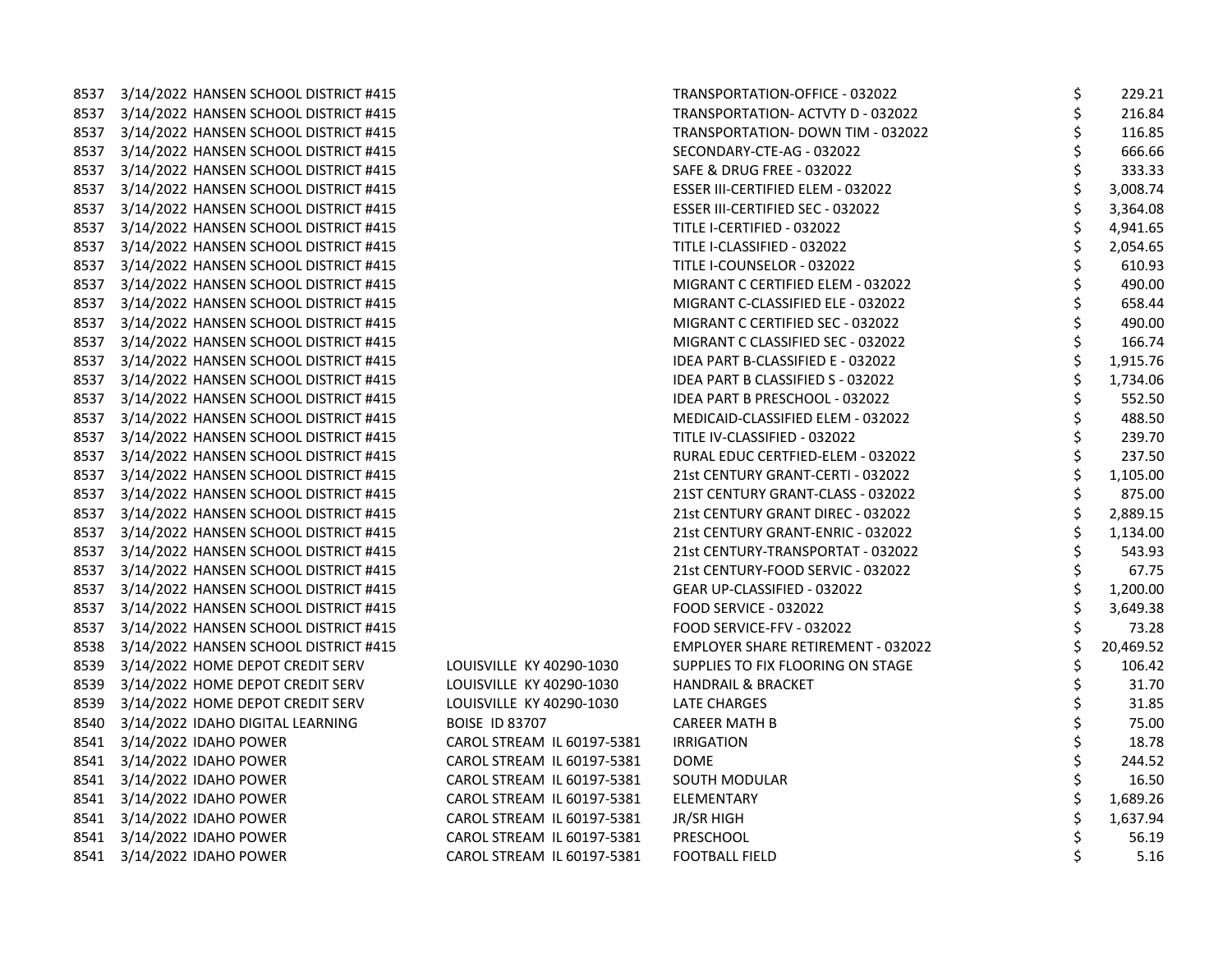| 8537 | 3/14/2022 HANSEN SCHOOL DISTRICT #415      |                            | TRANSPORTATION-OFFICE - 032022     | \$ | 229.21    |
|------|--------------------------------------------|----------------------------|------------------------------------|----|-----------|
|      | 8537 3/14/2022 HANSEN SCHOOL DISTRICT #415 |                            | TRANSPORTATION- ACTVTY D - 032022  |    | 216.84    |
| 8537 | 3/14/2022 HANSEN SCHOOL DISTRICT #415      |                            | TRANSPORTATION- DOWN TIM - 032022  |    | 116.85    |
| 8537 | 3/14/2022 HANSEN SCHOOL DISTRICT #415      |                            | SECONDARY-CTE-AG - 032022          | \$ | 666.66    |
| 8537 | 3/14/2022 HANSEN SCHOOL DISTRICT #415      |                            | SAFE & DRUG FREE - 032022          | \$ | 333.33    |
|      | 8537 3/14/2022 HANSEN SCHOOL DISTRICT #415 |                            | ESSER III-CERTIFIED ELEM - 032022  |    | 3,008.74  |
| 8537 | 3/14/2022 HANSEN SCHOOL DISTRICT #415      |                            | ESSER III-CERTIFIED SEC - 032022   |    | 3,364.08  |
| 8537 | 3/14/2022 HANSEN SCHOOL DISTRICT #415      |                            | TITLE I-CERTIFIED - 032022         |    | 4,941.65  |
| 8537 | 3/14/2022 HANSEN SCHOOL DISTRICT #415      |                            | TITLE I-CLASSIFIED - 032022        | \$ | 2,054.65  |
| 8537 | 3/14/2022 HANSEN SCHOOL DISTRICT #415      |                            | TITLE I-COUNSELOR - 032022         | \$ | 610.93    |
|      | 8537 3/14/2022 HANSEN SCHOOL DISTRICT #415 |                            | MIGRANT C CERTIFIED ELEM - 032022  | \$ | 490.00    |
|      | 8537 3/14/2022 HANSEN SCHOOL DISTRICT #415 |                            | MIGRANT C-CLASSIFIED ELE - 032022  | \$ | 658.44    |
| 8537 | 3/14/2022 HANSEN SCHOOL DISTRICT #415      |                            | MIGRANT C CERTIFIED SEC - 032022   |    | 490.00    |
| 8537 | 3/14/2022 HANSEN SCHOOL DISTRICT #415      |                            | MIGRANT C CLASSIFIED SEC - 032022  |    | 166.74    |
| 8537 | 3/14/2022 HANSEN SCHOOL DISTRICT #415      |                            | IDEA PART B-CLASSIFIED E - 032022  | \$ | 1,915.76  |
|      | 8537 3/14/2022 HANSEN SCHOOL DISTRICT #415 |                            | IDEA PART B CLASSIFIED S - 032022  | \$ | 1,734.06  |
|      | 8537 3/14/2022 HANSEN SCHOOL DISTRICT #415 |                            | IDEA PART B PRESCHOOL - 032022     |    | 552.50    |
| 8537 | 3/14/2022 HANSEN SCHOOL DISTRICT #415      |                            | MEDICAID-CLASSIFIED ELEM - 032022  |    | 488.50    |
| 8537 | 3/14/2022 HANSEN SCHOOL DISTRICT #415      |                            | TITLE IV-CLASSIFIED - 032022       |    | 239.70    |
| 8537 | 3/14/2022 HANSEN SCHOOL DISTRICT #415      |                            | RURAL EDUC CERTFIED-ELEM - 032022  | \$ | 237.50    |
| 8537 | 3/14/2022 HANSEN SCHOOL DISTRICT #415      |                            | 21st CENTURY GRANT-CERTI - 032022  | \$ | 1,105.00  |
|      | 8537 3/14/2022 HANSEN SCHOOL DISTRICT #415 |                            | 21ST CENTURY GRANT-CLASS - 032022  |    | 875.00    |
|      | 8537 3/14/2022 HANSEN SCHOOL DISTRICT #415 |                            | 21st CENTURY GRANT DIREC - 032022  |    | 2,889.15  |
| 8537 | 3/14/2022 HANSEN SCHOOL DISTRICT #415      |                            | 21st CENTURY GRANT-ENRIC - 032022  | \$ | 1,134.00  |
| 8537 | 3/14/2022 HANSEN SCHOOL DISTRICT #415      |                            | 21st CENTURY-TRANSPORTAT - 032022  | \$ | 543.93    |
| 8537 | 3/14/2022 HANSEN SCHOOL DISTRICT #415      |                            | 21st CENTURY-FOOD SERVIC - 032022  | \$ | 67.75     |
|      | 8537 3/14/2022 HANSEN SCHOOL DISTRICT #415 |                            | GEAR UP-CLASSIFIED - 032022        | \$ | 1,200.00  |
|      | 8537 3/14/2022 HANSEN SCHOOL DISTRICT #415 |                            | FOOD SERVICE - 032022              |    | 3,649.38  |
| 8537 | 3/14/2022 HANSEN SCHOOL DISTRICT #415      |                            | FOOD SERVICE-FFV - 032022          |    | 73.28     |
| 8538 | 3/14/2022 HANSEN SCHOOL DISTRICT #415      |                            | EMPLOYER SHARE RETIREMENT - 032022 |    | 20,469.52 |
| 8539 | 3/14/2022 HOME DEPOT CREDIT SERV           | LOUISVILLE KY 40290-1030   | SUPPLIES TO FIX FLOORING ON STAGE  | Ś  | 106.42    |
|      | 8539 3/14/2022 HOME DEPOT CREDIT SERV      | LOUISVILLE KY 40290-1030   | HANDRAIL & BRACKET                 | \$ | 31.70     |
|      | 8539 3/14/2022 HOME DEPOT CREDIT SERV      | LOUISVILLE KY 40290-1030   | LATE CHARGES                       |    | 31.85     |
| 8540 | 3/14/2022 IDAHO DIGITAL LEARNING           | <b>BOISE ID 83707</b>      | <b>CAREER MATH B</b>               |    | 75.00     |
| 8541 | 3/14/2022 IDAHO POWER                      | CAROL STREAM IL 60197-5381 | <b>IRRIGATION</b>                  |    | 18.78     |
| 8541 | 3/14/2022 IDAHO POWER                      | CAROL STREAM IL 60197-5381 | <b>DOME</b>                        | \$ | 244.52    |
|      | 8541 3/14/2022 IDAHO POWER                 | CAROL STREAM IL 60197-5381 | SOUTH MODULAR                      | \$ | 16.50     |
|      | 8541 3/14/2022 IDAHO POWER                 | CAROL STREAM IL 60197-5381 | ELEMENTARY                         | \$ | 1,689.26  |
|      | 8541 3/14/2022 IDAHO POWER                 | CAROL STREAM IL 60197-5381 | JR/SR HIGH                         |    | 1,637.94  |
|      | 8541 3/14/2022 IDAHO POWER                 | CAROL STREAM IL 60197-5381 | PRESCHOOL                          |    | 56.19     |
|      | 8541 3/14/2022 IDAHO POWER                 | CAROL STREAM IL 60197-5381 | <b>FOOTBALL FIELD</b>              | \$ | 5.16      |